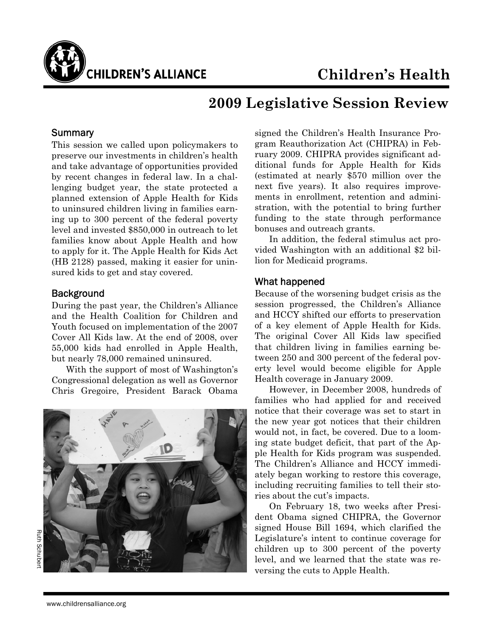

# **2009 Legislative Session Review**

### **Summary**

This session we called upon policymakers to preserve our investments in children's health and take advantage of opportunities provided by recent changes in federal law. In a challenging budget year, the state protected a planned extension of Apple Health for Kids to uninsured children living in families earning up to 300 percent of the federal poverty level and invested \$850,000 in outreach to let families know about Apple Health and how to apply for it. The Apple Health for Kids Act (HB 2128) passed, making it easier for uninsured kids to get and stay covered.

#### **Background**

During the past year, the Children's Alliance and the Health Coalition for Children and Youth focused on implementation of the 2007 Cover All Kids law. At the end of 2008, over 55,000 kids had enrolled in Apple Health, but nearly 78,000 remained uninsured.

 With the support of most of Washington's Congressional delegation as well as Governor Chris Gregoire, President Barack Obama



signed the Children's Health Insurance Program Reauthorization Act (CHIPRA) in February 2009. CHIPRA provides significant additional funds for Apple Health for Kids (estimated at nearly \$570 million over the next five years). It also requires improvements in enrollment, retention and administration, with the potential to bring further funding to the state through performance bonuses and outreach grants.

 In addition, the federal stimulus act provided Washington with an additional \$2 billion for Medicaid programs.

#### What happened

Because of the worsening budget crisis as the session progressed, the Children's Alliance and HCCY shifted our efforts to preservation of a key element of Apple Health for Kids. The original Cover All Kids law specified that children living in families earning between 250 and 300 percent of the federal poverty level would become eligible for Apple Health coverage in January 2009.

 However, in December 2008, hundreds of families who had applied for and received notice that their coverage was set to start in the new year got notices that their children would not, in fact, be covered. Due to a looming state budget deficit, that part of the Apple Health for Kids program was suspended. The Children's Alliance and HCCY immediately began working to restore this coverage, including recruiting families to tell their stories about the cut's impacts.

 On February 18, two weeks after President Obama signed CHIPRA, the Governor signed House Bill 1694, which clarified the Legislature's intent to continue coverage for children up to 300 percent of the poverty level, and we learned that the state was reversing the cuts to Apple Health.